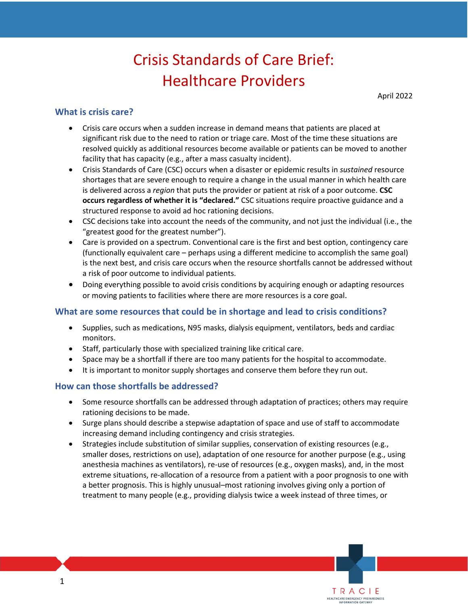# Crisis Standards of Care Brief: Healthcare Providers

April 2022

TRACIE HEALTHCARE EMERGENCY PREPARE

# **What is crisis care?**

- significant risk due to the need to ration or triage care. Most of the time these situations are facility that has capacity (e.g., after a mass casualty incident). • Crisis care occurs when a sudden increase in demand means that patients are placed at resolved quickly as additional resources become available or patients can be moved to another
- • Crisis Standards of Care (CSC) occurs when a disaster or epidemic results in *sustained* resource shortages that are severe enough to require a change in the usual manner in which health care is delivered across a *region* that puts the provider or patient at risk of a poor outcome. **CSC occurs regardless of whether it is "declared."** CSC situations require proactive guidance and a structured response to avoid ad hoc rationing decisions.
- • CSC decisions take into account the needs of the community, and not just the individual (i.e., the "greatest good for the greatest number").
- is the next best, and crisis care occurs when the resource shortfalls cannot be addressed without a risk of poor outcome to individual patients. • Care is provided on a spectrum. Conventional care is the first and best option, contingency care (functionally equivalent care – perhaps using a different medicine to accomplish the same goal)
- • Doing everything possible to avoid crisis conditions by acquiring enough or adapting resources or moving patients to facilities where there are more resources is a core goal.

### **What are some resources that could be in shortage and lead to crisis conditions?**

- Supplies, such as medications, N95 masks, dialysis equipment, ventilators, beds and cardiac monitors.
- Staff, particularly those with specialized training like critical care.
- Space may be a shortfall if there are too many patients for the hospital to accommodate.
- It is important to monitor supply shortages and conserve them before they run out.

#### **How can those shortfalls be addressed?**

- rationing decisions to be made. • Some resource shortfalls can be addressed through adaptation of practices; others may require
- Surge plans should describe a stepwise adaptation of space and use of staff to accommodate increasing demand including contingency and crisis strategies.
- anesthesia machines as ventilators), re-use of resources (e.g., oxygen masks), and, in the most a better prognosis. This is highly unusual–most rationing involves giving only a portion of treatment to many people (e.g., providing dialysis twice a week instead of three times, or • Strategies include substitution of similar supplies, conservation of existing resources (e.g., smaller doses, restrictions on use), adaptation of one resource for another purpose (e.g., using extreme situations, re-allocation of a resource from a patient with a poor prognosis to one with